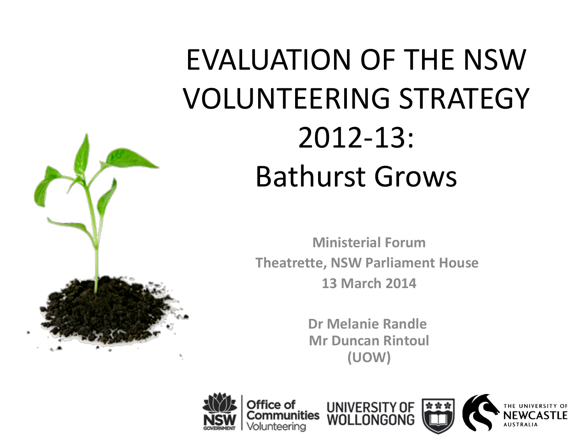

# EVALUATION OF THE NSW VOLUNTEERING STRATEGY 2012-13: Bathurst Grows

**Ministerial Forum Theatrette, NSW Parliament House 13 March 2014**

> **Dr Melanie Randle Mr Duncan Rintoul (UOW)**



fice of

iities

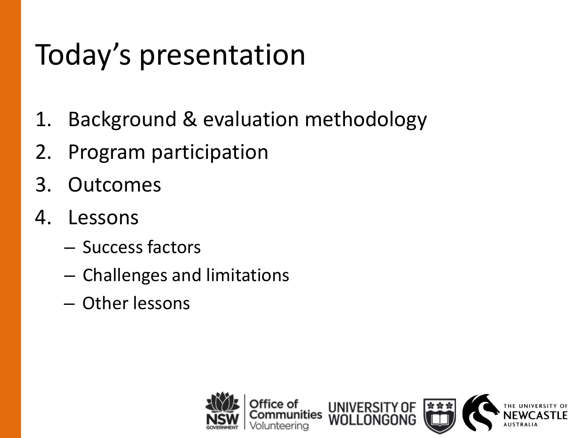## Today's presentation

- 1. Background & evaluation methodology
- 2. Program participation
- 3. Outcomes
- 4. Lessons
	- Success factors
	- Challenges and limitations
	- Other lessons

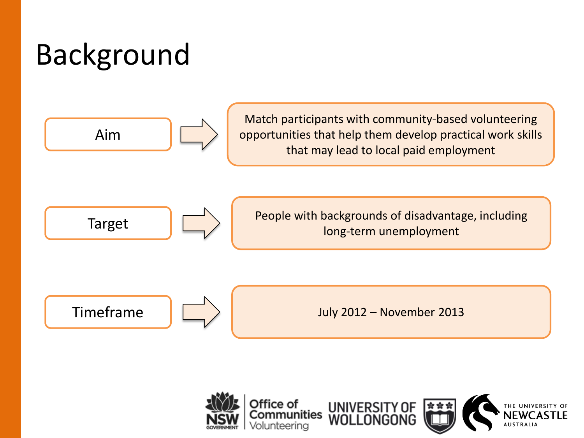# Background

Aim

Match participants with community-based volunteering opportunities that help them develop practical work skills that may lead to local paid employment



People with backgrounds of disadvantage, including Target  $\left|\bigcup_{n=1}^{\infty}\right|$  reople with backgrounds of disadvanta

Timeframe July 2012 – November 2013

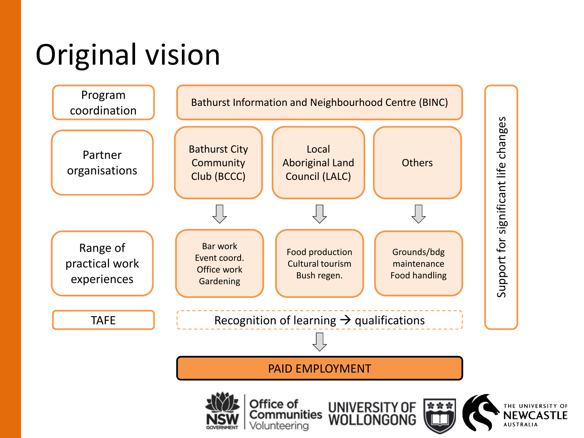# Original vision

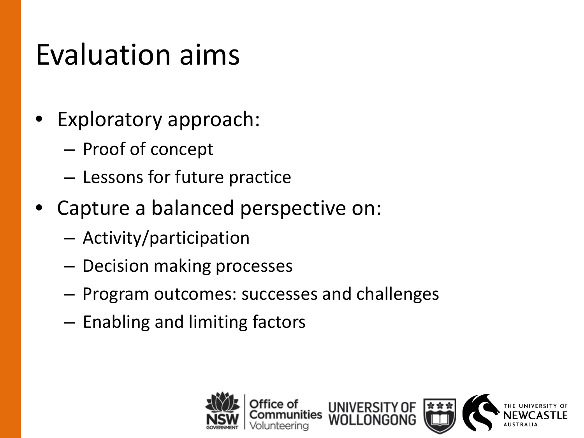#### Evaluation aims

- Exploratory approach:
	- Proof of concept
	- Lessons for future practice
- Capture a balanced perspective on:
	- Activity/participation
	- Decision making processes
	- Program outcomes: successes and challenges
	- Enabling and limiting factors

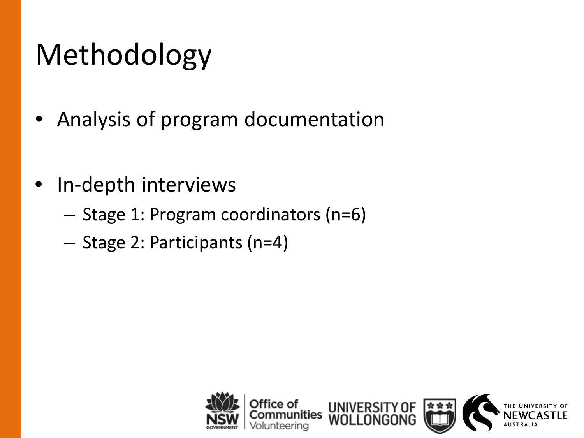# Methodology

- Analysis of program documentation
- In-depth interviews
	- Stage 1: Program coordinators (n=6)
	- Stage 2: Participants (n=4)

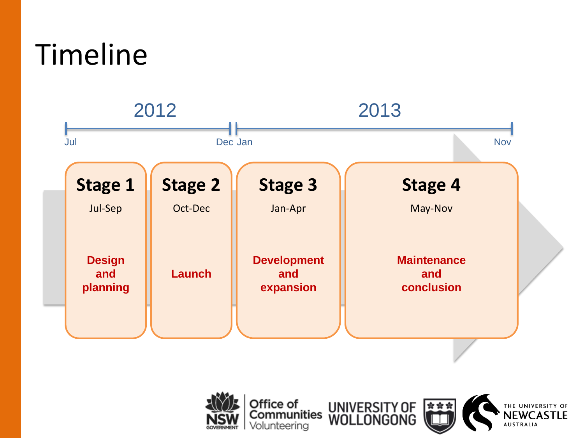#### Timeline





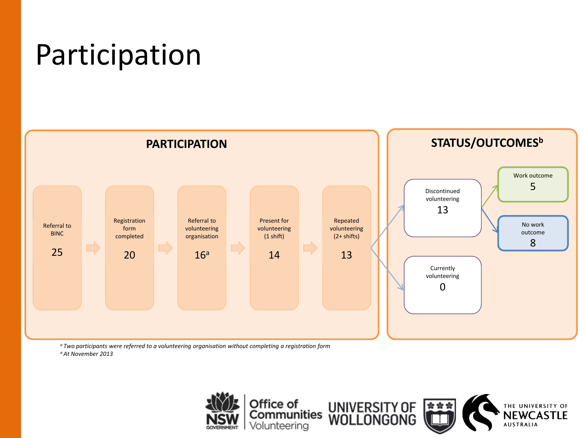#### Participation



*<sup>a</sup> Two participants were referred to a volunteering organisation without completing a registration form a At November 2013*

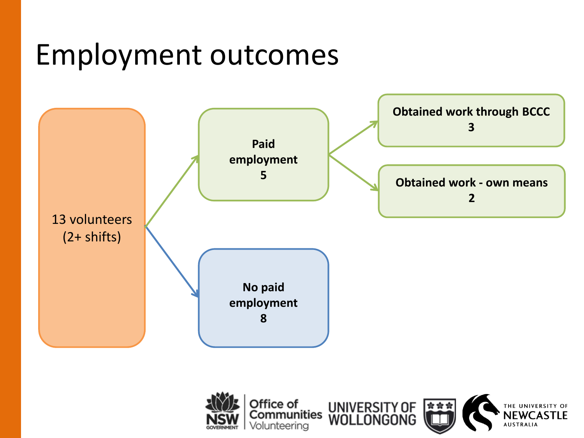#### Employment outcomes



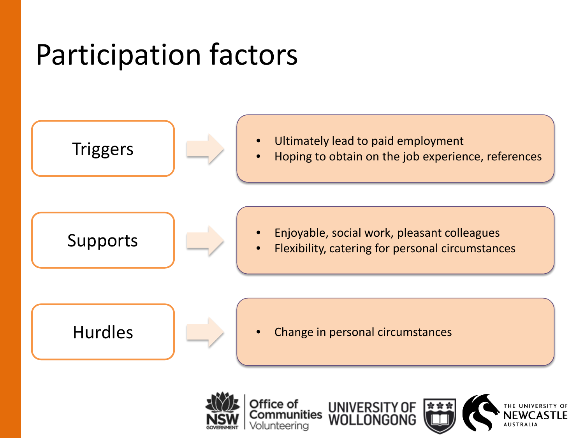#### Participation factors

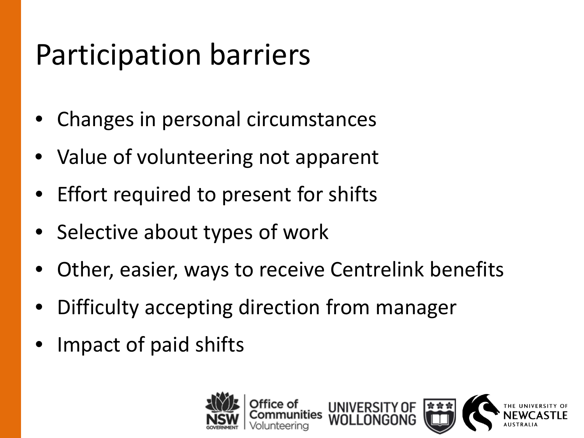#### Participation barriers

- Changes in personal circumstances
- Value of volunteering not apparent
- Effort required to present for shifts
- Selective about types of work
- Other, easier, ways to receive Centrelink benefits
- Difficulty accepting direction from manager
- Impact of paid shifts

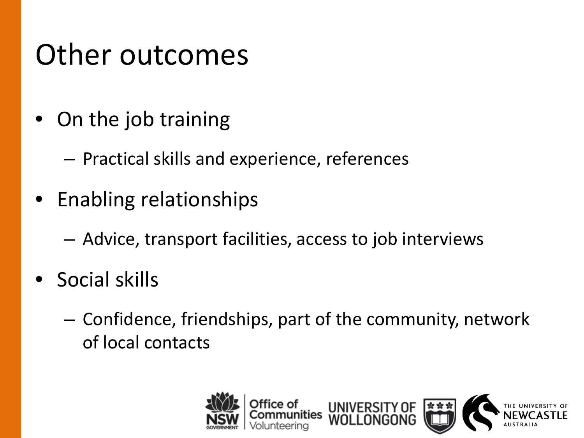#### Other outcomes

- On the job training
	- Practical skills and experience, references
- Enabling relationships
	- Advice, transport facilities, access to job interviews
- Social skills
	- Confidence, friendships, part of the community, network of local contacts

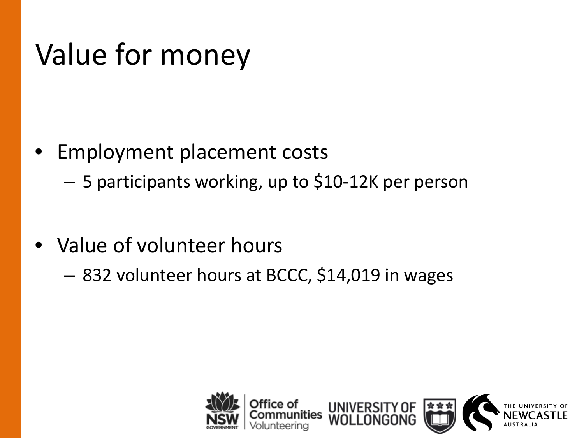#### Value for money

- Employment placement costs
	- 5 participants working, up to \$10-12K per person
- Value of volunteer hours
	- 832 volunteer hours at BCCC, \$14,019 in wages

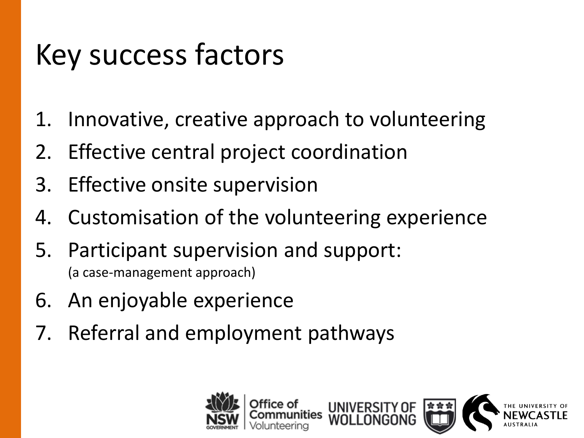## Key success factors

- 1. Innovative, creative approach to volunteering
- 2. Effective central project coordination
- 3. Effective onsite supervision
- 4. Customisation of the volunteering experience
- 5. Participant supervision and support: (a case-management approach)
- 6. An enjoyable experience
- 7. Referral and employment pathways

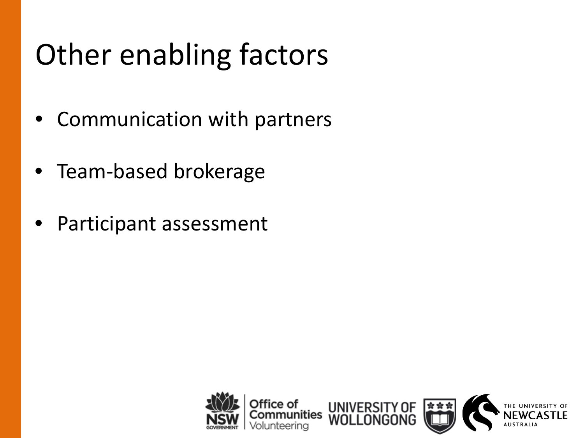# Other enabling factors

- Communication with partners
- Team-based brokerage
- Participant assessment

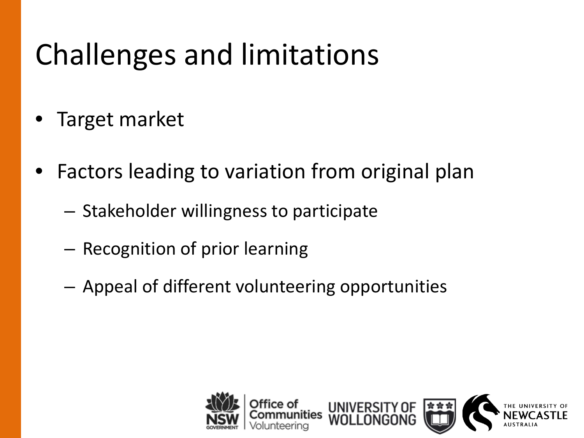## Challenges and limitations

- Target market
- Factors leading to variation from original plan
	- Stakeholder willingness to participate
	- Recognition of prior learning
	- Appeal of different volunteering opportunities

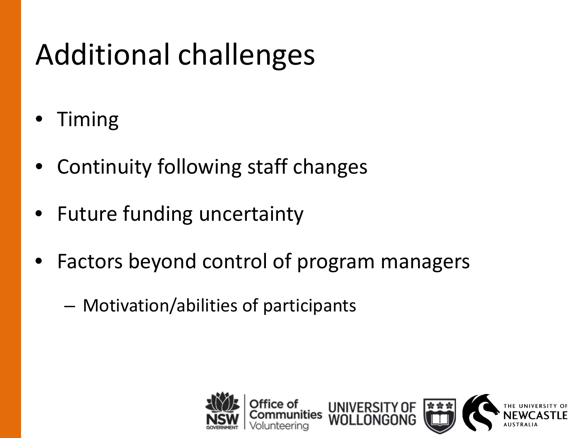# Additional challenges

- Timing
- Continuity following staff changes
- Future funding uncertainty
- Factors beyond control of program managers
	- Motivation/abilities of participants

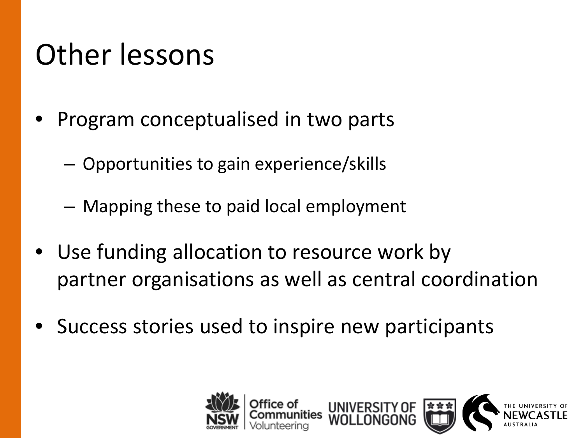#### Other lessons

- Program conceptualised in two parts
	- Opportunities to gain experience/skills
	- Mapping these to paid local employment
- Use funding allocation to resource work by partner organisations as well as central coordination
- Success stories used to inspire new participants